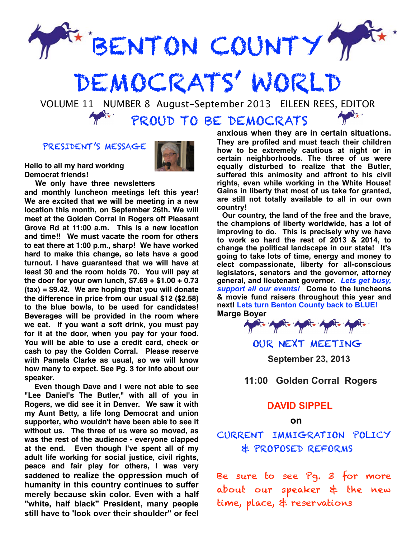

# DEMOCRATS' WORLD

 VOLUME 11 NUMBER 8 August-September 2013 EILEEN REES, EDITOR PROUD TO BE DEMOCRATS

PRESIDENT'S MESSAGE

**Hello to all my hard working Democrat friends!** 



**We only have three newsletters** 

**and monthly luncheon meetings left this year! We are excited that we will be meeting in a new location this month, on September 26th. We will meet at the Golden Corral in Rogers off Pleasant Grove Rd at 11:00 a.m. This is a new location and time!! We must vacate the room for others to eat there at 1:00 p.m., sharp! We have worked hard to make this change, so lets have a good turnout. I have guaranteed that we will have at least 30 and the room holds 70. You will pay at the door for your own lunch, \$7.69 + \$1.00 + 0.73 (tax) = \$9.42. We are hoping that you will donate the difference in price from our usual \$12 (\$2.58) to the blue bowls, to be used for candidates! Beverages will be provided in the room where we eat. If you want a soft drink, you must pay for it at the door, when you pay for your food. You will be able to use a credit card, check or cash to pay the Golden Corral. Please reserve with Pamela Clarke as usual, so we will know how many to expect. See Pg. 3 for info about our speaker.**

 **Even though Dave and I were not able to see "Lee Daniel's The Butler," with all of you in Rogers, we did see it in Denver. We saw it with my Aunt Betty, a life long Democrat and union supporter, who wouldn't have been able to see it without us. The three of us were so moved, as was the rest of the audience - everyone clapped at the end. Even though I've spent all of my adult life working for social justice, civil rights, peace and fair play for others, I was very saddened to realize the oppression much of humanity in this country continues to suffer merely because skin color. Even with a half "white, half black" President, many people still have to 'look over their shoulder'' or feel** 

**anxious when they are in certain situations. They are profiled and must teach their children how to be extremely cautious at night or in certain neighborhoods. The three of us were equally disturbed to realize that the Butler, suffered this animosity and affront to his civil rights, even while working in the White House! Gains in liberty that most of us take for granted, are still not totally available to all in our own country!** 

 **Our country, the land of the free and the brave, the champions of liberty worldwide, has a lot of improving to do. This is precisely why we have to work so hard the rest of 2013 & 2014, to change the political landscape in our state! It's going to take lots of time, energy and money to elect compassionate, liberty for all-conscious legislators, senators and the governor, attorney general, and lieutenant governor.** *Lets get busy, support all our events!* **Come to the luncheons & movie fund raisers throughout this year and next! Lets turn Benton County back to BLUE!**



OUR NEXT MEETING  **September 23, 2013**

 **11:00 Golden Corral Rogers**

#### **DAVID SIPPEL**

#### **on**

CURRENT IMMIGRATION POLICY & PROPOSED REFORMS

Be sure to see Pg. 3 for more about our speaker & the new time, place, & reservations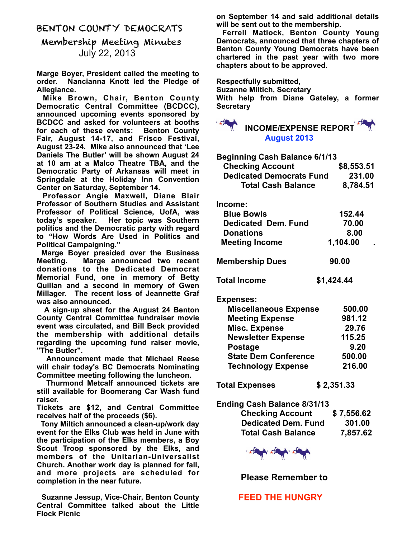#### BENTON COUNTY DEMOCRATS

# Membership Meeting Minutes July 22, 2013

**Marge Boyer, President called the meeting to order. Nancianna Knott led the Pledge of Allegiance.**

 **Mike Brown, Chair, Benton County Democratic Central Committee (BCDCC), announced upcoming events sponsored by BCDCC and asked for volunteers at booths for each of these events: Benton County Fair, August 14-17, and Frisco Festival, August 23-24. Mike also announced that 'Lee Daniels The Butler' will be shown August 24 at 10 am at a Malco Theatre TBA, and the Democratic Party of Arkansas will meet in Springdale at the Holiday Inn Convention Center on Saturday, September 14.**

 **Professor Angie Maxwell, Diane Blair Professor of Southern Studies and Assistant Professor of Political Science, UofA, was today's speaker. Her topic was Southern politics and the Democratic party with regard to "How Words Are Used in Politics and Political Campaigning."**

 **Marge Boyer presided over the Business Meeting. Marge announced two recent donations to the Dedicated Democrat Memorial Fund, one in memory of Betty Quillan and a second in memory of Gwen Millager. The recent loss of Jeannette Graf was also announced.**

 **A sign-up sheet for the August 24 Benton County Central Committee fundraiser movie event was circulated, and Bill Beck provided the membership with additional details regarding the upcoming fund raiser movie, "The Butler".**

 **Announcement made that Michael Reese will chair today's BC Democrats Nominating Committee meeting following the luncheon.**

 **Thurmond Metcalf announced tickets are still available for Boomerang Car Wash fund raiser.**

**Tickets are \$12, and Central Committee receives half of the proceeds (\$6).**

 **Tony Miltich announced a clean-up/work day event for the Elks Club was held in June with the participation of the Elks members, a Boy Scout Troop sponsored by the Elks, and members of the Unitarian-Universalist Church. Another work day is planned for fall, and more projects are scheduled for completion in the near future.**

 **Suzanne Jessup, Vice-Chair, Benton County Central Committee talked about the Little Flock Picnic**

**on September 14 and said additional details will be sent out to the membership.**

 **Ferrell Matlock, Benton County Young Democrats, announced that three chapters of Benton County Young Democrats have been chartered in the past year with two more chapters about to be approved.**

**Respectfully submitted,**

**Suzanne Miltich, Secretary**

**With help from Diane Gateley, a former Secretary**



| <b>Beginning Cash Balance 6/1/13</b> |            |
|--------------------------------------|------------|
| <b>Checking Account</b>              | \$8,553.51 |
| <b>Dedicated Democrats Fund</b>      | 231.00     |
| <b>Total Cash Balance</b>            | 8,784.51   |
| Income:                              |            |
| <b>Blue Bowls</b>                    | 152.44     |
| <b>Dedicated Dem. Fund</b>           | 70.00      |
| <b>Donations</b>                     | 8.00       |
| <b>Meeting Income</b>                | 1,104.00   |
| <b>Membership Dues</b>               | 90.00      |
| <b>Total Income</b>                  | \$1,424.44 |
| <b>Expenses:</b>                     |            |
| <b>Miscellaneous Expense</b>         | 500.00     |
| <b>Meeting Expense</b>               | 981.12     |
| <b>Misc. Expense</b>                 | 29.76      |
| <b>Newsletter Expense</b>            | 115.25     |
| <b>Postage</b>                       | 9.20       |
| <b>State Dem Conference</b>          | 500.00     |
| <b>Technology Expense</b>            | 216.00     |
| <b>Total Expenses</b>                | \$2,351.33 |
| <b>Ending Cash Balance 8/31/13</b>   |            |

## **Checking Account \$ 7,556.62 Dedicated Dem. Fund 301.00 Total Cash Balance 7,857.62**



 **Please Remember to**

 **FEED THE HUNGRY**